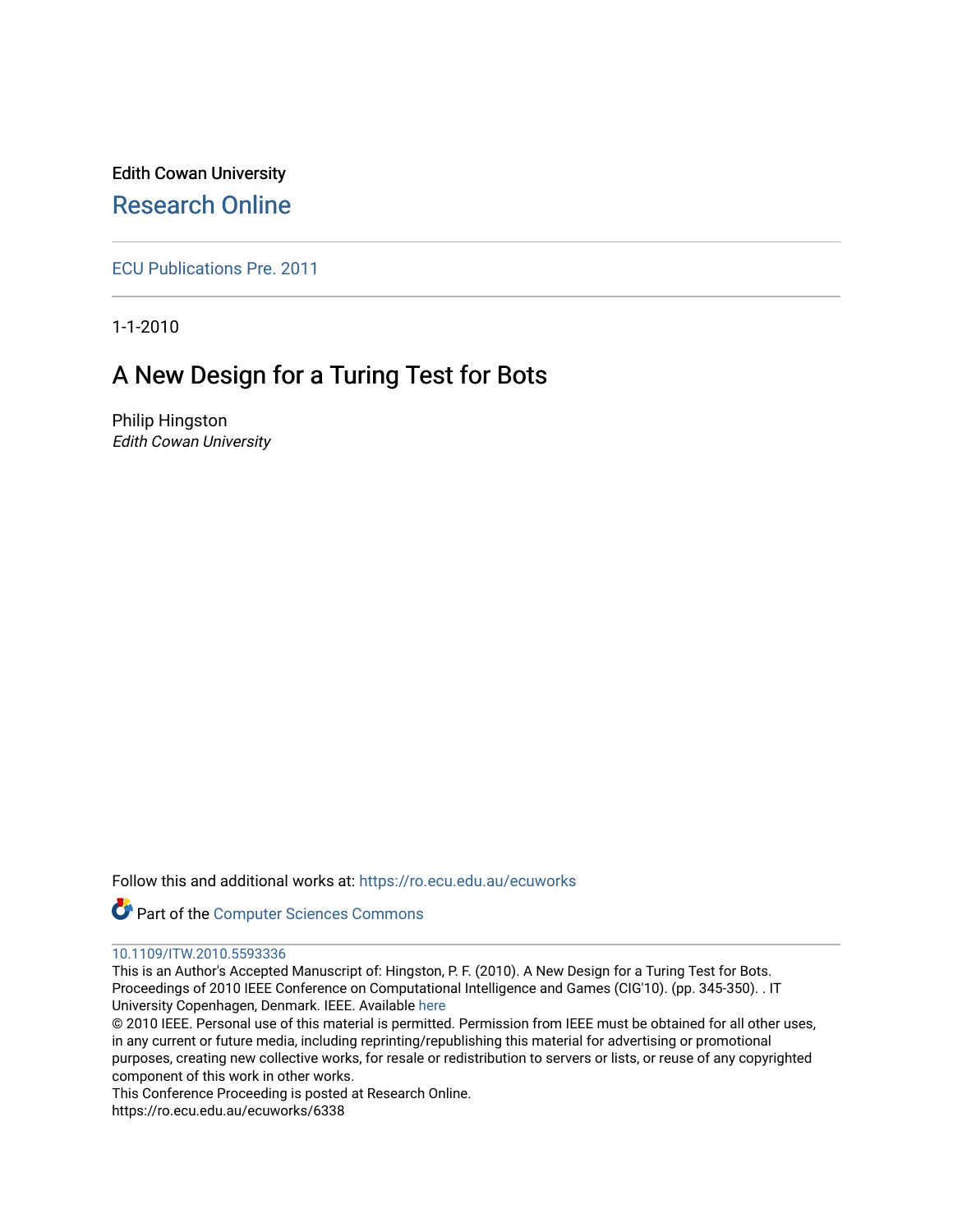Edith Cowan University [Research Online](https://ro.ecu.edu.au/) 

[ECU Publications Pre. 2011](https://ro.ecu.edu.au/ecuworks)

1-1-2010

# A New Design for a Turing Test for Bots

Philip Hingston Edith Cowan University

Follow this and additional works at: [https://ro.ecu.edu.au/ecuworks](https://ro.ecu.edu.au/ecuworks?utm_source=ro.ecu.edu.au%2Fecuworks%2F6338&utm_medium=PDF&utm_campaign=PDFCoverPages) 

Part of the [Computer Sciences Commons](http://network.bepress.com/hgg/discipline/142?utm_source=ro.ecu.edu.au%2Fecuworks%2F6338&utm_medium=PDF&utm_campaign=PDFCoverPages)

## [10.1109/ITW.2010.5593336](http://dx.doi.org/10.1109/ITW.2010.5593336)

This is an Author's Accepted Manuscript of: Hingston, P. F. (2010). A New Design for a Turing Test for Bots. Proceedings of 2010 IEEE Conference on Computational Intelligence and Games (CIG'10). (pp. 345-350). . IT University Copenhagen, Denmark. IEEE. Available [here](http://dx.doi.org/10.1109/ITW.2010.5593336) 

© 2010 IEEE. Personal use of this material is permitted. Permission from IEEE must be obtained for all other uses, in any current or future media, including reprinting/republishing this material for advertising or promotional purposes, creating new collective works, for resale or redistribution to servers or lists, or reuse of any copyrighted component of this work in other works.

This Conference Proceeding is posted at Research Online.

https://ro.ecu.edu.au/ecuworks/6338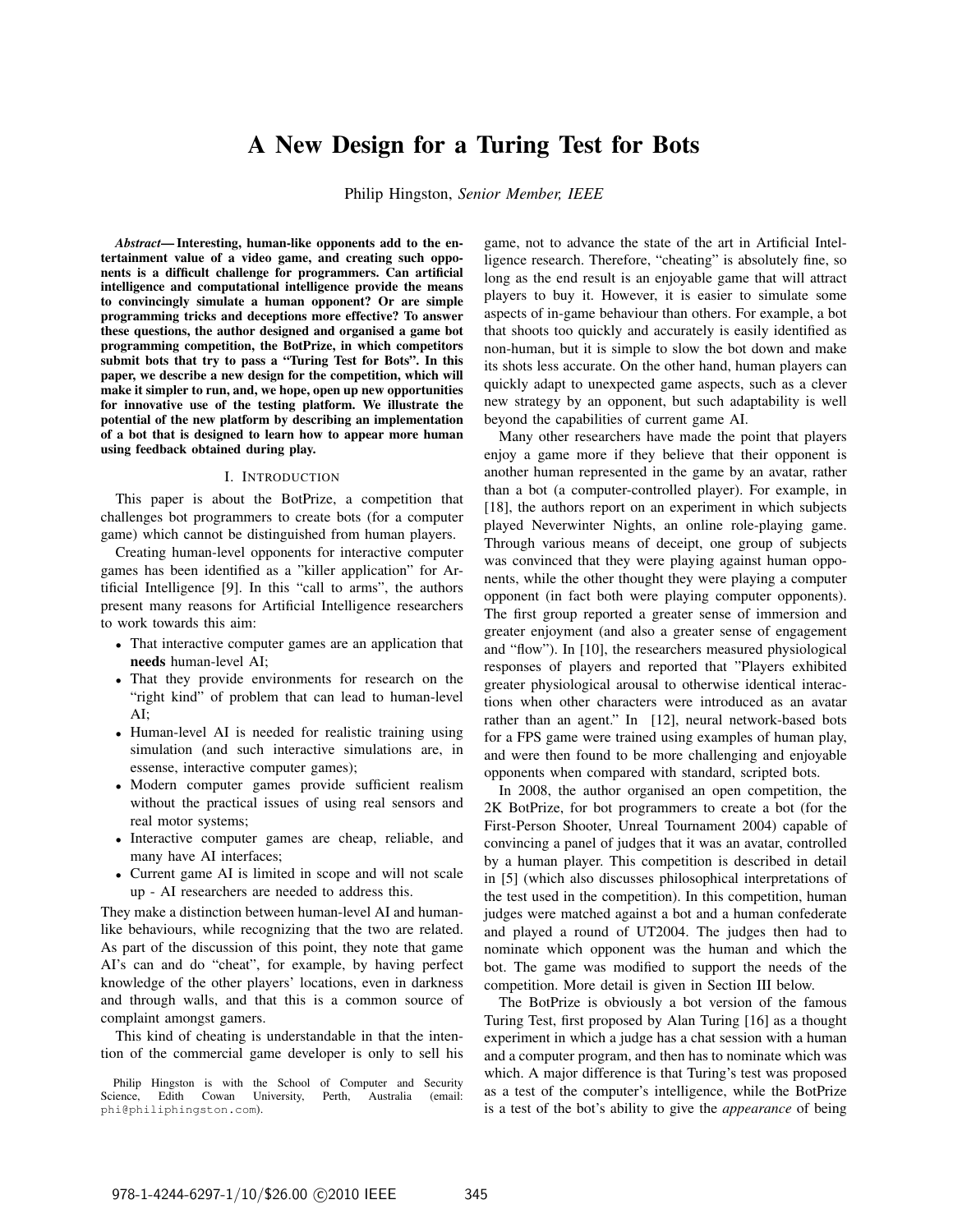# A New Design for a Turing Test for Bots

Philip Hingston, *Senior Member, IEEE*

*Abstract*— Interesting, human-like opponents add to the entertainment value of a video game, and creating such opponents is a difficult challenge for programmers. Can artificial intelligence and computational intelligence provide the means to convincingly simulate a human opponent? Or are simple programming tricks and deceptions more effective? To answer these questions, the author designed and organised a game bot programming competition, the BotPrize, in which competitors submit bots that try to pass a "Turing Test for Bots". In this paper, we describe a new design for the competition, which will make it simpler to run, and, we hope, open up new opportunities for innovative use of the testing platform. We illustrate the potential of the new platform by describing an implementation of a bot that is designed to learn how to appear more human using feedback obtained during play.

#### I. INTRODUCTION

This paper is about the BotPrize, a competition that challenges bot programmers to create bots (for a computer game) which cannot be distinguished from human players.

Creating human-level opponents for interactive computer games has been identified as a "killer application" for Artificial Intelligence [9]. In this "call to arms", the authors present many reasons for Artificial Intelligence researchers to work towards this aim:

- That interactive computer games are an application that needs human-level AI;
- That they provide environments for research on the "right kind" of problem that can lead to human-level AI;
- Human-level AI is needed for realistic training using simulation (and such interactive simulations are, in essense, interactive computer games);
- Modern computer games provide sufficient realism without the practical issues of using real sensors and real motor systems;
- Interactive computer games are cheap, reliable, and many have AI interfaces;
- Current game AI is limited in scope and will not scale up - AI researchers are needed to address this.

They make a distinction between human-level AI and humanlike behaviours, while recognizing that the two are related. As part of the discussion of this point, they note that game AI's can and do "cheat", for example, by having perfect knowledge of the other players' locations, even in darkness and through walls, and that this is a common source of complaint amongst gamers.

This kind of cheating is understandable in that the intention of the commercial game developer is only to sell his

game, not to advance the state of the art in Artificial Intelligence research. Therefore, "cheating" is absolutely fine, so long as the end result is an enjoyable game that will attract players to buy it. However, it is easier to simulate some aspects of in-game behaviour than others. For example, a bot that shoots too quickly and accurately is easily identified as non-human, but it is simple to slow the bot down and make its shots less accurate. On the other hand, human players can quickly adapt to unexpected game aspects, such as a clever new strategy by an opponent, but such adaptability is well beyond the capabilities of current game AI.

Many other researchers have made the point that players enjoy a game more if they believe that their opponent is another human represented in the game by an avatar, rather than a bot (a computer-controlled player). For example, in [18], the authors report on an experiment in which subjects played Neverwinter Nights, an online role-playing game. Through various means of deceipt, one group of subjects was convinced that they were playing against human opponents, while the other thought they were playing a computer opponent (in fact both were playing computer opponents). The first group reported a greater sense of immersion and greater enjoyment (and also a greater sense of engagement and "flow"). In [10], the researchers measured physiological responses of players and reported that "Players exhibited greater physiological arousal to otherwise identical interactions when other characters were introduced as an avatar rather than an agent." In [12], neural network-based bots for a FPS game were trained using examples of human play, and were then found to be more challenging and enjoyable opponents when compared with standard, scripted bots.

In 2008, the author organised an open competition, the 2K BotPrize, for bot programmers to create a bot (for the First-Person Shooter, Unreal Tournament 2004) capable of convincing a panel of judges that it was an avatar, controlled by a human player. This competition is described in detail in [5] (which also discusses philosophical interpretations of the test used in the competition). In this competition, human judges were matched against a bot and a human confederate and played a round of UT2004. The judges then had to nominate which opponent was the human and which the bot. The game was modified to support the needs of the competition. More detail is given in Section III below.

The BotPrize is obviously a bot version of the famous Turing Test, first proposed by Alan Turing [16] as a thought experiment in which a judge has a chat session with a human and a computer program, and then has to nominate which was which. A major difference is that Turing's test was proposed as a test of the computer's intelligence, while the BotPrize is a test of the bot's ability to give the *appearance* of being

Philip Hingston is with the School of Computer and Security<br>ience, Edith Cowan University, Perth, Australia (email: Science, Edith Cowan University, Perth, Australia (email: phi@philiphingston.com).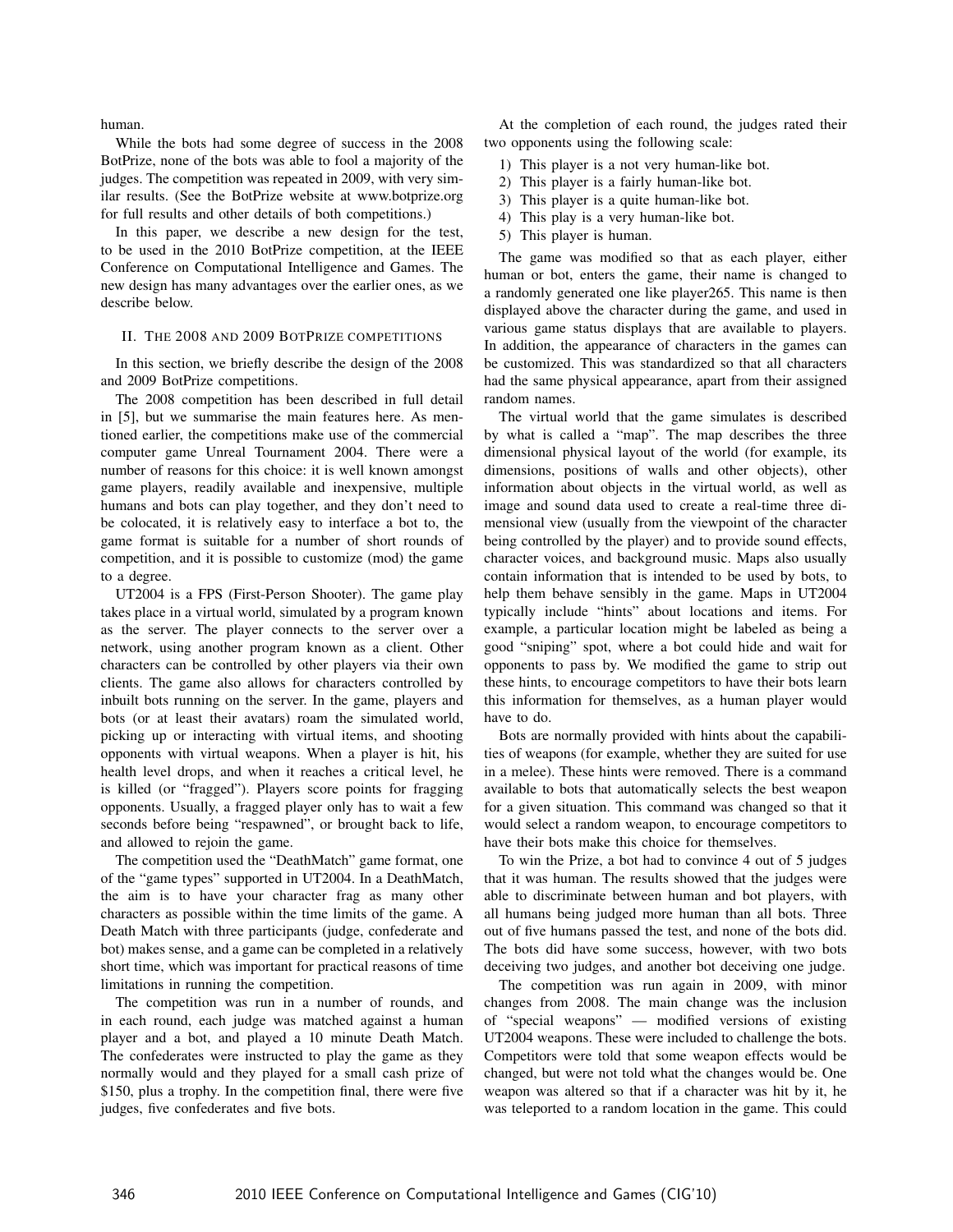human.

While the bots had some degree of success in the 2008 BotPrize, none of the bots was able to fool a majority of the judges. The competition was repeated in 2009, with very similar results. (See the BotPrize website at www.botprize.org for full results and other details of both competitions.)

In this paper, we describe a new design for the test, to be used in the 2010 BotPrize competition, at the IEEE Conference on Computational Intelligence and Games. The new design has many advantages over the earlier ones, as we describe below.

#### II. THE 2008 AND 2009 BOTPRIZE COMPETITIONS

In this section, we briefly describe the design of the 2008 and 2009 BotPrize competitions.

The 2008 competition has been described in full detail in [5], but we summarise the main features here. As mentioned earlier, the competitions make use of the commercial computer game Unreal Tournament 2004. There were a number of reasons for this choice: it is well known amongst game players, readily available and inexpensive, multiple humans and bots can play together, and they don't need to be colocated, it is relatively easy to interface a bot to, the game format is suitable for a number of short rounds of competition, and it is possible to customize (mod) the game to a degree.

UT2004 is a FPS (First-Person Shooter). The game play takes place in a virtual world, simulated by a program known as the server. The player connects to the server over a network, using another program known as a client. Other characters can be controlled by other players via their own clients. The game also allows for characters controlled by inbuilt bots running on the server. In the game, players and bots (or at least their avatars) roam the simulated world, picking up or interacting with virtual items, and shooting opponents with virtual weapons. When a player is hit, his health level drops, and when it reaches a critical level, he is killed (or "fragged"). Players score points for fragging opponents. Usually, a fragged player only has to wait a few seconds before being "respawned", or brought back to life, and allowed to rejoin the game.

The competition used the "DeathMatch" game format, one of the "game types" supported in UT2004. In a DeathMatch, the aim is to have your character frag as many other characters as possible within the time limits of the game. A Death Match with three participants (judge, confederate and bot) makes sense, and a game can be completed in a relatively short time, which was important for practical reasons of time limitations in running the competition.

The competition was run in a number of rounds, and in each round, each judge was matched against a human player and a bot, and played a 10 minute Death Match. The confederates were instructed to play the game as they normally would and they played for a small cash prize of \$150, plus a trophy. In the competition final, there were five judges, five confederates and five bots.

At the completion of each round, the judges rated their two opponents using the following scale:

- 1) This player is a not very human-like bot.
- 2) This player is a fairly human-like bot.
- 3) This player is a quite human-like bot.
- 4) This play is a very human-like bot.
- 5) This player is human.

The game was modified so that as each player, either human or bot, enters the game, their name is changed to a randomly generated one like player265. This name is then displayed above the character during the game, and used in various game status displays that are available to players. In addition, the appearance of characters in the games can be customized. This was standardized so that all characters had the same physical appearance, apart from their assigned random names.

The virtual world that the game simulates is described by what is called a "map". The map describes the three dimensional physical layout of the world (for example, its dimensions, positions of walls and other objects), other information about objects in the virtual world, as well as image and sound data used to create a real-time three dimensional view (usually from the viewpoint of the character being controlled by the player) and to provide sound effects, character voices, and background music. Maps also usually contain information that is intended to be used by bots, to help them behave sensibly in the game. Maps in UT2004 typically include "hints" about locations and items. For example, a particular location might be labeled as being a good "sniping" spot, where a bot could hide and wait for opponents to pass by. We modified the game to strip out these hints, to encourage competitors to have their bots learn this information for themselves, as a human player would have to do.

Bots are normally provided with hints about the capabilities of weapons (for example, whether they are suited for use in a melee). These hints were removed. There is a command available to bots that automatically selects the best weapon for a given situation. This command was changed so that it would select a random weapon, to encourage competitors to have their bots make this choice for themselves.

To win the Prize, a bot had to convince 4 out of 5 judges that it was human. The results showed that the judges were able to discriminate between human and bot players, with all humans being judged more human than all bots. Three out of five humans passed the test, and none of the bots did. The bots did have some success, however, with two bots deceiving two judges, and another bot deceiving one judge.

The competition was run again in 2009, with minor changes from 2008. The main change was the inclusion of "special weapons" — modified versions of existing UT2004 weapons. These were included to challenge the bots. Competitors were told that some weapon effects would be changed, but were not told what the changes would be. One weapon was altered so that if a character was hit by it, he was teleported to a random location in the game. This could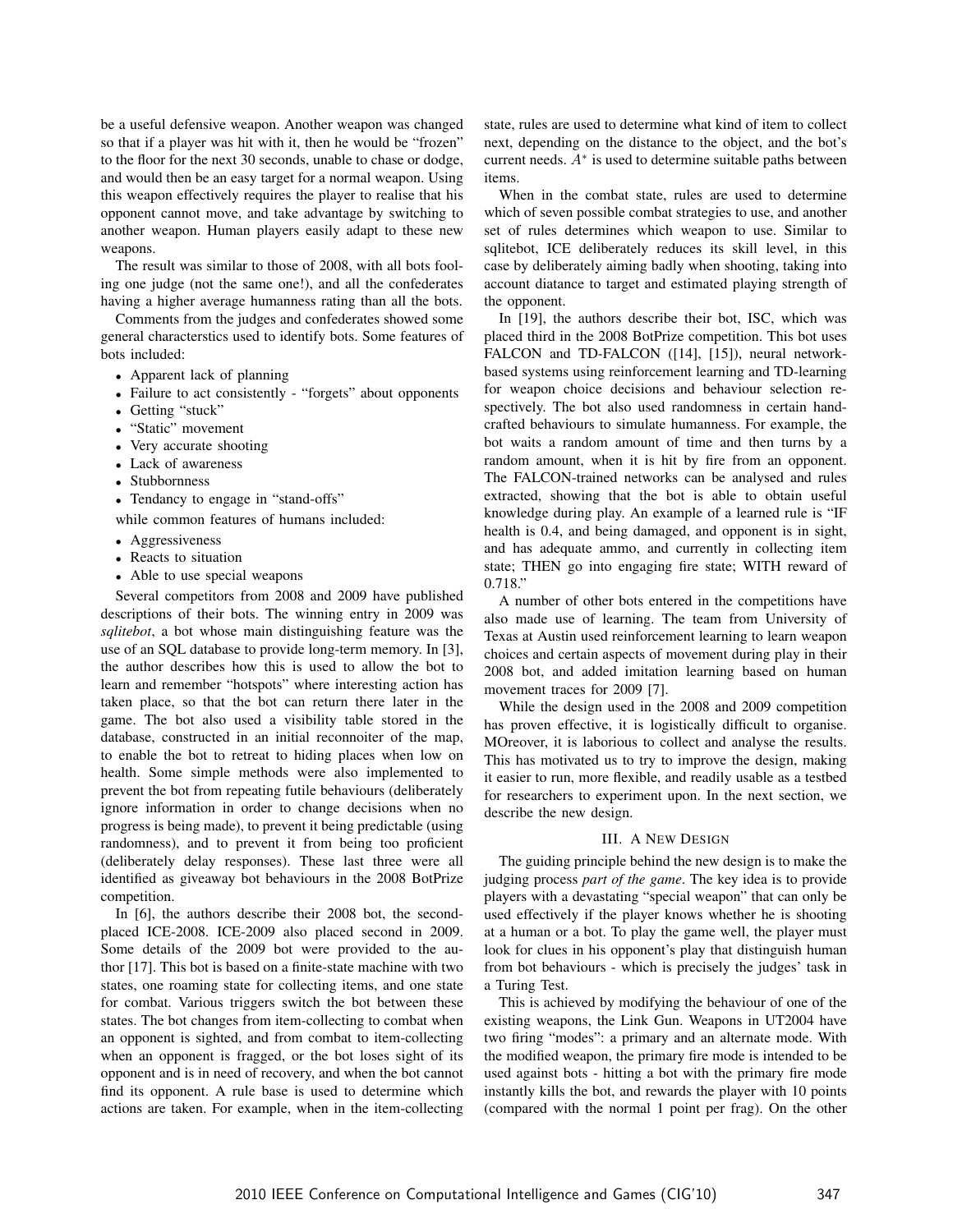be a useful defensive weapon. Another weapon was changed so that if a player was hit with it, then he would be "frozen" to the floor for the next 30 seconds, unable to chase or dodge, and would then be an easy target for a normal weapon. Using this weapon effectively requires the player to realise that his opponent cannot move, and take advantage by switching to another weapon. Human players easily adapt to these new weapons.

The result was similar to those of 2008, with all bots fooling one judge (not the same one!), and all the confederates having a higher average humanness rating than all the bots.

Comments from the judges and confederates showed some general characterstics used to identify bots. Some features of bots included:

- Apparent lack of planning
- Failure to act consistently "forgets" about opponents
- Getting "stuck"
- "Static" movement
- Very accurate shooting
- Lack of awareness
- Stubbornness
- Tendancy to engage in "stand-offs"

while common features of humans included:

- Aggressiveness
- Reacts to situation
- Able to use special weapons

Several competitors from 2008 and 2009 have published descriptions of their bots. The winning entry in 2009 was *sqlitebot*, a bot whose main distinguishing feature was the use of an SQL database to provide long-term memory. In [3], the author describes how this is used to allow the bot to learn and remember "hotspots" where interesting action has taken place, so that the bot can return there later in the game. The bot also used a visibility table stored in the database, constructed in an initial reconnoiter of the map, to enable the bot to retreat to hiding places when low on health. Some simple methods were also implemented to prevent the bot from repeating futile behaviours (deliberately ignore information in order to change decisions when no progress is being made), to prevent it being predictable (using randomness), and to prevent it from being too proficient (deliberately delay responses). These last three were all identified as giveaway bot behaviours in the 2008 BotPrize competition.

In [6], the authors describe their 2008 bot, the secondplaced ICE-2008. ICE-2009 also placed second in 2009. Some details of the 2009 bot were provided to the author [17]. This bot is based on a finite-state machine with two states, one roaming state for collecting items, and one state for combat. Various triggers switch the bot between these states. The bot changes from item-collecting to combat when an opponent is sighted, and from combat to item-collecting when an opponent is fragged, or the bot loses sight of its opponent and is in need of recovery, and when the bot cannot find its opponent. A rule base is used to determine which actions are taken. For example, when in the item-collecting

state, rules are used to determine what kind of item to collect next, depending on the distance to the object, and the bot's current needs. A<sup>∗</sup> is used to determine suitable paths between items.

When in the combat state, rules are used to determine which of seven possible combat strategies to use, and another set of rules determines which weapon to use. Similar to sqlitebot, ICE deliberately reduces its skill level, in this case by deliberately aiming badly when shooting, taking into account diatance to target and estimated playing strength of the opponent.

In [19], the authors describe their bot, ISC, which was placed third in the 2008 BotPrize competition. This bot uses FALCON and TD-FALCON ([14], [15]), neural networkbased systems using reinforcement learning and TD-learning for weapon choice decisions and behaviour selection respectively. The bot also used randomness in certain handcrafted behaviours to simulate humanness. For example, the bot waits a random amount of time and then turns by a random amount, when it is hit by fire from an opponent. The FALCON-trained networks can be analysed and rules extracted, showing that the bot is able to obtain useful knowledge during play. An example of a learned rule is "IF health is 0.4, and being damaged, and opponent is in sight, and has adequate ammo, and currently in collecting item state; THEN go into engaging fire state; WITH reward of 0.718."

A number of other bots entered in the competitions have also made use of learning. The team from University of Texas at Austin used reinforcement learning to learn weapon choices and certain aspects of movement during play in their 2008 bot, and added imitation learning based on human movement traces for 2009 [7].

While the design used in the 2008 and 2009 competition has proven effective, it is logistically difficult to organise. MOreover, it is laborious to collect and analyse the results. This has motivated us to try to improve the design, making it easier to run, more flexible, and readily usable as a testbed for researchers to experiment upon. In the next section, we describe the new design.

#### III. A NEW DESIGN

The guiding principle behind the new design is to make the judging process *part of the game*. The key idea is to provide players with a devastating "special weapon" that can only be used effectively if the player knows whether he is shooting at a human or a bot. To play the game well, the player must look for clues in his opponent's play that distinguish human from bot behaviours - which is precisely the judges' task in a Turing Test.

This is achieved by modifying the behaviour of one of the existing weapons, the Link Gun. Weapons in UT2004 have two firing "modes": a primary and an alternate mode. With the modified weapon, the primary fire mode is intended to be used against bots - hitting a bot with the primary fire mode instantly kills the bot, and rewards the player with 10 points (compared with the normal 1 point per frag). On the other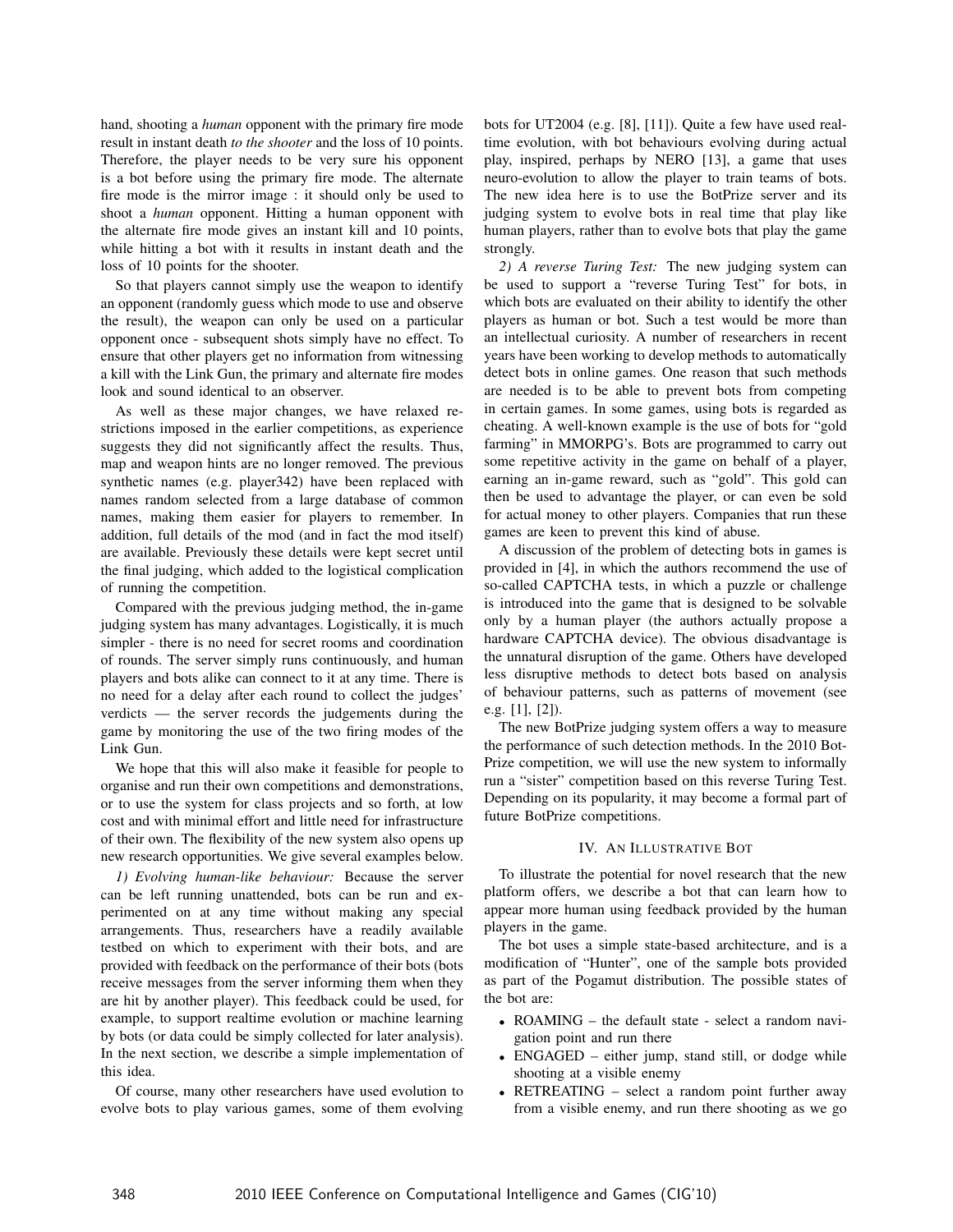hand, shooting a *human* opponent with the primary fire mode result in instant death *to the shooter* and the loss of 10 points. Therefore, the player needs to be very sure his opponent is a bot before using the primary fire mode. The alternate fire mode is the mirror image : it should only be used to shoot a *human* opponent. Hitting a human opponent with the alternate fire mode gives an instant kill and 10 points, while hitting a bot with it results in instant death and the loss of 10 points for the shooter.

So that players cannot simply use the weapon to identify an opponent (randomly guess which mode to use and observe the result), the weapon can only be used on a particular opponent once - subsequent shots simply have no effect. To ensure that other players get no information from witnessing a kill with the Link Gun, the primary and alternate fire modes look and sound identical to an observer.

As well as these major changes, we have relaxed restrictions imposed in the earlier competitions, as experience suggests they did not significantly affect the results. Thus, map and weapon hints are no longer removed. The previous synthetic names (e.g. player342) have been replaced with names random selected from a large database of common names, making them easier for players to remember. In addition, full details of the mod (and in fact the mod itself) are available. Previously these details were kept secret until the final judging, which added to the logistical complication of running the competition.

Compared with the previous judging method, the in-game judging system has many advantages. Logistically, it is much simpler - there is no need for secret rooms and coordination of rounds. The server simply runs continuously, and human players and bots alike can connect to it at any time. There is no need for a delay after each round to collect the judges' verdicts — the server records the judgements during the game by monitoring the use of the two firing modes of the Link Gun.

We hope that this will also make it feasible for people to organise and run their own competitions and demonstrations, or to use the system for class projects and so forth, at low cost and with minimal effort and little need for infrastructure of their own. The flexibility of the new system also opens up new research opportunities. We give several examples below.

*1) Evolving human-like behaviour:* Because the server can be left running unattended, bots can be run and experimented on at any time without making any special arrangements. Thus, researchers have a readily available testbed on which to experiment with their bots, and are provided with feedback on the performance of their bots (bots receive messages from the server informing them when they are hit by another player). This feedback could be used, for example, to support realtime evolution or machine learning by bots (or data could be simply collected for later analysis). In the next section, we describe a simple implementation of this idea.

Of course, many other researchers have used evolution to evolve bots to play various games, some of them evolving bots for UT2004 (e.g. [8], [11]). Quite a few have used realtime evolution, with bot behaviours evolving during actual play, inspired, perhaps by NERO [13], a game that uses neuro-evolution to allow the player to train teams of bots. The new idea here is to use the BotPrize server and its judging system to evolve bots in real time that play like human players, rather than to evolve bots that play the game strongly.

*2) A reverse Turing Test:* The new judging system can be used to support a "reverse Turing Test" for bots, in which bots are evaluated on their ability to identify the other players as human or bot. Such a test would be more than an intellectual curiosity. A number of researchers in recent years have been working to develop methods to automatically detect bots in online games. One reason that such methods are needed is to be able to prevent bots from competing in certain games. In some games, using bots is regarded as cheating. A well-known example is the use of bots for "gold farming" in MMORPG's. Bots are programmed to carry out some repetitive activity in the game on behalf of a player, earning an in-game reward, such as "gold". This gold can then be used to advantage the player, or can even be sold for actual money to other players. Companies that run these games are keen to prevent this kind of abuse.

A discussion of the problem of detecting bots in games is provided in [4], in which the authors recommend the use of so-called CAPTCHA tests, in which a puzzle or challenge is introduced into the game that is designed to be solvable only by a human player (the authors actually propose a hardware CAPTCHA device). The obvious disadvantage is the unnatural disruption of the game. Others have developed less disruptive methods to detect bots based on analysis of behaviour patterns, such as patterns of movement (see e.g. [1], [2]).

The new BotPrize judging system offers a way to measure the performance of such detection methods. In the 2010 Bot-Prize competition, we will use the new system to informally run a "sister" competition based on this reverse Turing Test. Depending on its popularity, it may become a formal part of future BotPrize competitions.

### IV. AN ILLUSTRATIVE BOT

To illustrate the potential for novel research that the new platform offers, we describe a bot that can learn how to appear more human using feedback provided by the human players in the game.

The bot uses a simple state-based architecture, and is a modification of "Hunter", one of the sample bots provided as part of the Pogamut distribution. The possible states of the bot are:

- ROAMING the default state select a random navigation point and run there
- ENGAGED either jump, stand still, or dodge while shooting at a visible enemy
- RETREATING select a random point further away from a visible enemy, and run there shooting as we go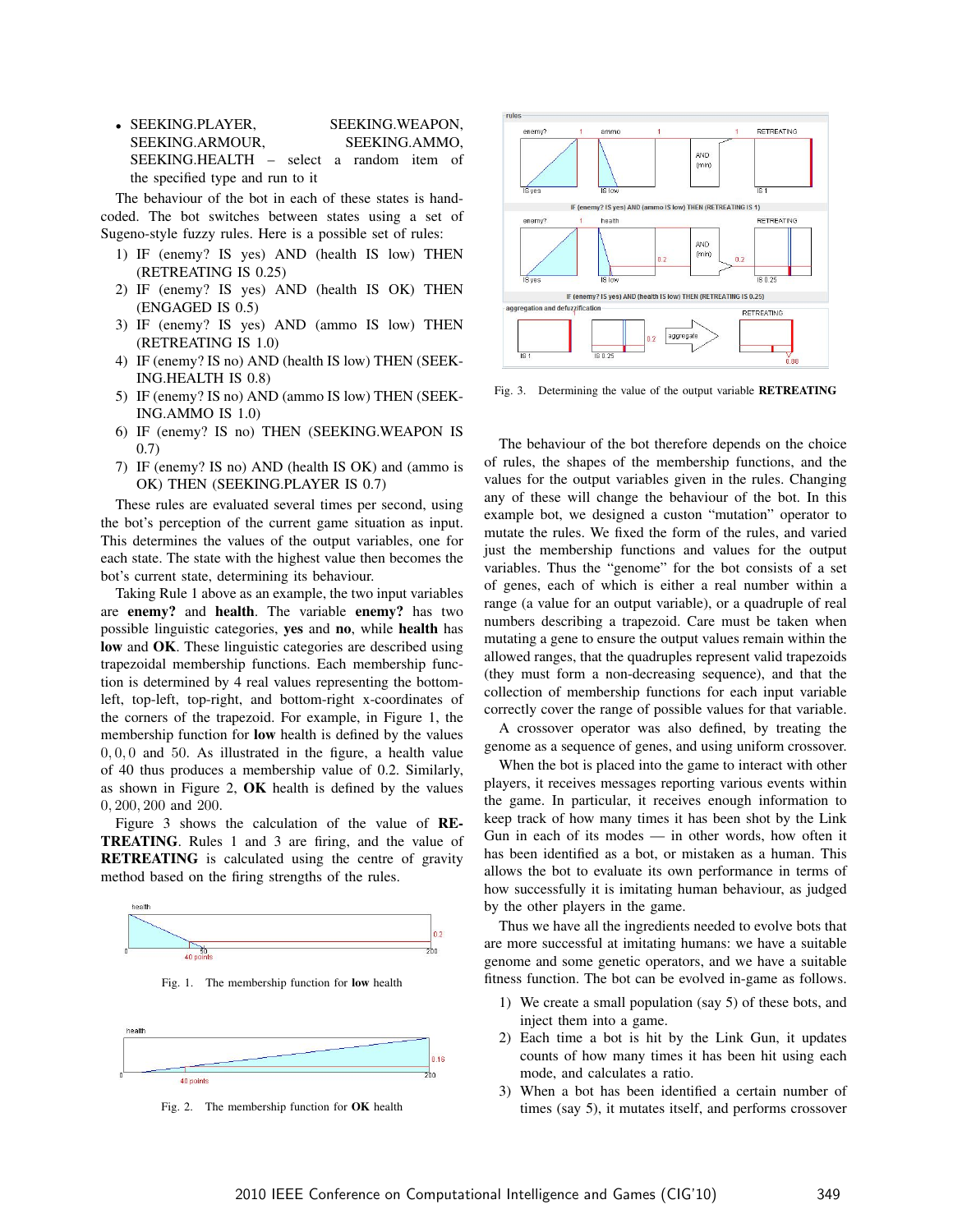• SEEKING.PLAYER, SEEKING.WEAPON, SEEKING.ARMOUR, SEEKING.AMMO, SEEKING.HEALTH – select a random item of the specified type and run to it

The behaviour of the bot in each of these states is handcoded. The bot switches between states using a set of Sugeno-style fuzzy rules. Here is a possible set of rules:

- 1) IF (enemy? IS yes) AND (health IS low) THEN (RETREATING IS 0.25)
- 2) IF (enemy? IS yes) AND (health IS OK) THEN (ENGAGED IS 0.5)
- 3) IF (enemy? IS yes) AND (ammo IS low) THEN (RETREATING IS 1.0)
- 4) IF (enemy? IS no) AND (health IS low) THEN (SEEK-ING.HEALTH IS 0.8)
- 5) IF (enemy? IS no) AND (ammo IS low) THEN (SEEK-ING.AMMO IS 1.0)
- 6) IF (enemy? IS no) THEN (SEEKING.WEAPON IS 0.7)
- 7) IF (enemy? IS no) AND (health IS OK) and (ammo is OK) THEN (SEEKING.PLAYER IS 0.7)

These rules are evaluated several times per second, using the bot's perception of the current game situation as input. This determines the values of the output variables, one for each state. The state with the highest value then becomes the bot's current state, determining its behaviour.

Taking Rule 1 above as an example, the two input variables are enemy? and health. The variable enemy? has two possible linguistic categories, yes and no, while health has low and OK. These linguistic categories are described using trapezoidal membership functions. Each membership function is determined by 4 real values representing the bottomleft, top-left, top-right, and bottom-right x-coordinates of the corners of the trapezoid. For example, in Figure 1, the membership function for low health is defined by the values 0, 0, 0 and 50. As illustrated in the figure, a health value of 40 thus produces a membership value of 0.2. Similarly, as shown in Figure 2, OK health is defined by the values 0, 200, 200 and 200.

Figure 3 shows the calculation of the value of RE-TREATING. Rules 1 and 3 are firing, and the value of RETREATING is calculated using the centre of gravity method based on the firing strengths of the rules.



Fig. 1. The membership function for low health



Fig. 2. The membership function for OK health



Fig. 3. Determining the value of the output variable RETREATING

The behaviour of the bot therefore depends on the choice of rules, the shapes of the membership functions, and the values for the output variables given in the rules. Changing any of these will change the behaviour of the bot. In this example bot, we designed a custon "mutation" operator to mutate the rules. We fixed the form of the rules, and varied just the membership functions and values for the output variables. Thus the "genome" for the bot consists of a set of genes, each of which is either a real number within a range (a value for an output variable), or a quadruple of real numbers describing a trapezoid. Care must be taken when mutating a gene to ensure the output values remain within the allowed ranges, that the quadruples represent valid trapezoids (they must form a non-decreasing sequence), and that the collection of membership functions for each input variable correctly cover the range of possible values for that variable.

A crossover operator was also defined, by treating the genome as a sequence of genes, and using uniform crossover.

When the bot is placed into the game to interact with other players, it receives messages reporting various events within the game. In particular, it receives enough information to keep track of how many times it has been shot by the Link Gun in each of its modes — in other words, how often it has been identified as a bot, or mistaken as a human. This allows the bot to evaluate its own performance in terms of how successfully it is imitating human behaviour, as judged by the other players in the game.

Thus we have all the ingredients needed to evolve bots that are more successful at imitating humans: we have a suitable genome and some genetic operators, and we have a suitable fitness function. The bot can be evolved in-game as follows.

- 1) We create a small population (say 5) of these bots, and inject them into a game.
- 2) Each time a bot is hit by the Link Gun, it updates counts of how many times it has been hit using each mode, and calculates a ratio.
- 3) When a bot has been identified a certain number of times (say 5), it mutates itself, and performs crossover